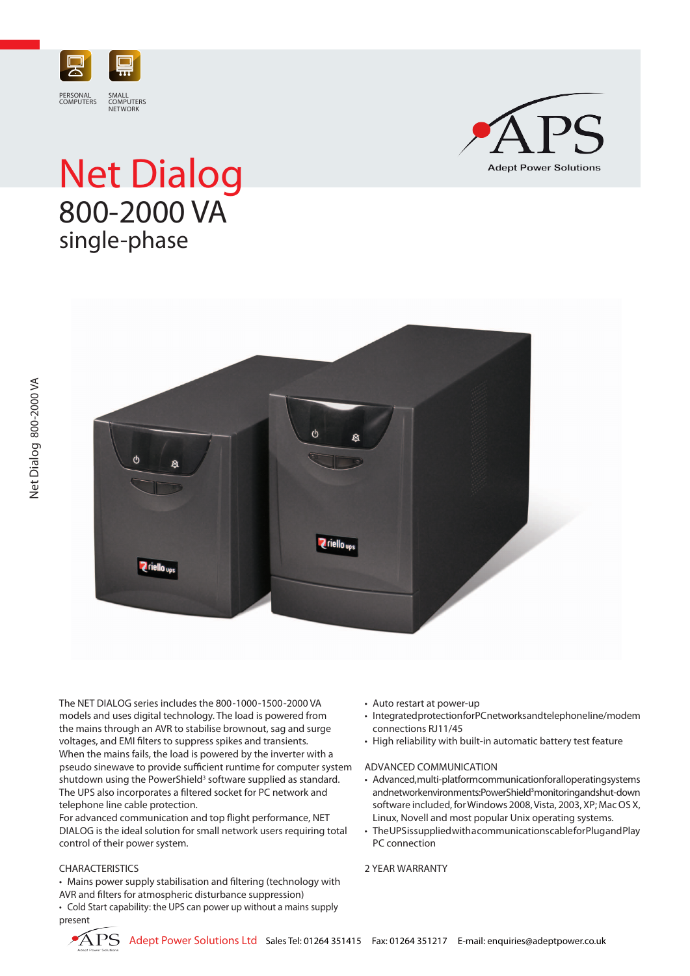

## Net Dialog 800-2000 VA single-phase





The NET DIALOG series includes the 800-1000-1500-2000 VA models and uses digital technology. The load is powered from the mains through an AVR to stabilise brownout, sag and surge voltages, and EMI filters to suppress spikes and transients. When the mains fails, the load is powered by the inverter with a pseudo sinewave to provide sufficient runtime for computer system shutdown using the PowerShield<sup>3</sup> software supplied as standard. The UPS also incorporates a filtered socket for PC network and telephone line cable protection.

For advanced communication and top flight performance, NET DIALOG is the ideal solution for small network users requiring total control of their power system.

## CHARACTERISTICS

• Mains power supply stabilisation and filtering (technology with AVR and filters for atmospheric disturbance suppression)

• Cold Start capability: the UPS can power up without a mains supply present

- • Auto restart at power-up
- Integrated protection for PC networks and telephone line/modem connections RJ11/45
- High reliability with built-in automatic battery test feature

## ADVANCED COMMUNICATION

- Advanced, multi-platform communication for all operating systems and network en vironments: Power Shield<sup>3</sup> monitoring and shut-down software included, for Windows 2008, Vista, 2003, XP; Mac OS X, Linux, Novell and most popular Unix operating systems.
- The UPS is supplied with a communications cable for Plug and Play PC connection

## 2 YEAR WARRANTY